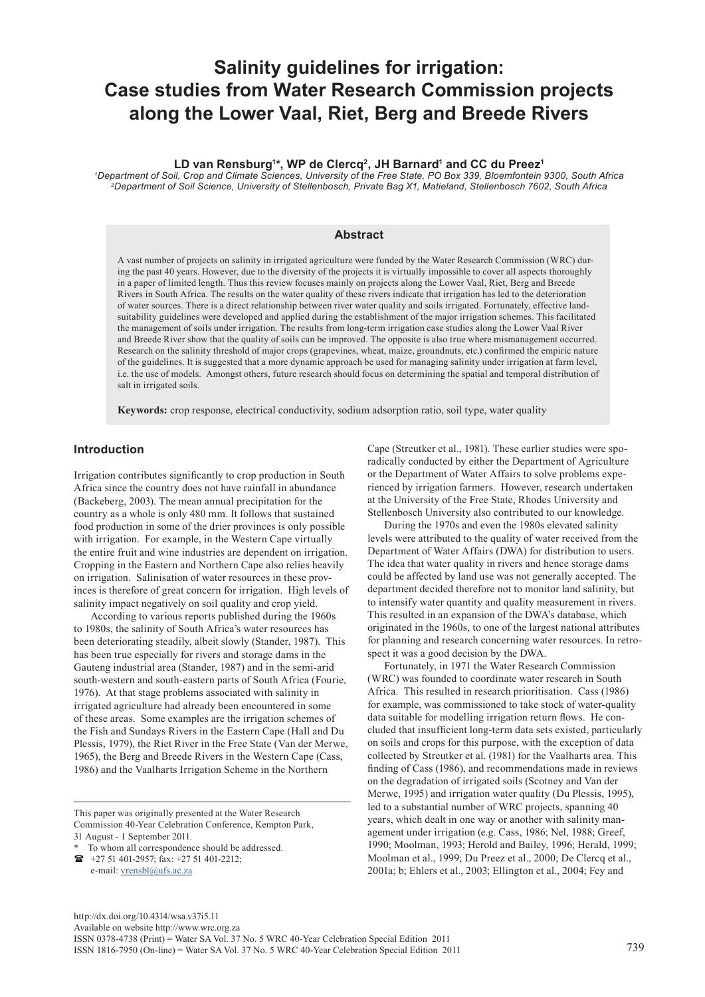# **Salinity guidelines for irrigation: Case studies from Water Research Commission projects along the Lower Vaal, Riet, Berg and Breede Rivers**

### LD van Rensburg<sup>1</sup>\*, WP de Clercq<sup>2</sup>, JH Barnard<sup>1</sup> and CC du Preez<sup>1</sup>

*1 Department of Soil, Crop and Climate Sciences, University of the Free State, PO Box 339, Bloemfontein 9300, South Africa 2Department of Soil Science, University of Stellenbosch, Private Bag X1, Matieland, Stellenbosch 7602, South Africa* 

## **Abstract**

A vast number of projects on salinity in irrigated agriculture were funded by the Water Research Commission (WRC) during the past 40 years. However, due to the diversity of the projects it is virtually impossible to cover all aspects thoroughly in a paper of limited length. Thus this review focuses mainly on projects along the Lower Vaal, Riet, Berg and Breede Rivers in South Africa. The results on the water quality of these rivers indicate that irrigation has led to the deterioration of water sources. There is a direct relationship between river water quality and soils irrigated. Fortunately, effective landsuitability guidelines were developed and applied during the establishment of the major irrigation schemes. This facilitated the management of soils under irrigation. The results from long-term irrigation case studies along the Lower Vaal River and Breede River show that the quality of soils can be improved. The opposite is also true where mismanagement occurred. Research on the salinity threshold of major crops (grapevines, wheat, maize, groundnuts, etc.) confirmed the empiric nature of the guidelines. It is suggested that a more dynamic approach be used for managing salinity under irrigation at farm level, i.e. the use of models. Amongst others, future research should focus on determining the spatial and temporal distribution of salt in irrigated soils.

**Keywords:** crop response, electrical conductivity, sodium adsorption ratio, soil type, water quality

# **Introduction**

Irrigation contributes significantly to crop production in South Africa since the country does not have rainfall in abundance (Backeberg, 2003). The mean annual precipitation for the country as a whole is only 480 mm. It follows that sustained food production in some of the drier provinces is only possible with irrigation. For example, in the Western Cape virtually the entire fruit and wine industries are dependent on irrigation. Cropping in the Eastern and Northern Cape also relies heavily on irrigation. Salinisation of water resources in these provinces is therefore of great concern for irrigation. High levels of salinity impact negatively on soil quality and crop yield.

According to various reports published during the 1960s to 1980s, the salinity of South Africa's water resources has been deteriorating steadily, albeit slowly (Stander, 1987). This has been true especially for rivers and storage dams in the Gauteng industrial area (Stander, 1987) and in the semi-arid south-western and south-eastern parts of South Africa (Fourie, 1976). At that stage problems associated with salinity in irrigated agriculture had already been encountered in some of these areas. Some examples are the irrigation schemes of the Fish and Sundays Rivers in the Eastern Cape (Hall and Du Plessis, 1979), the Riet River in the Free State (Van der Merwe, 1965), the Berg and Breede Rivers in the Western Cape (Cass, 1986) and the Vaalharts Irrigation Scheme in the Northern

This paper was originally presented at the Water Research Commission 40-Year Celebration Conference, Kempton Park, 31 August - 1 September 2011.

To whom all correspondence should be addressed. +27 51 401-2957; fax: +27 51 401-2212;

e-mail: [vrensbl@ufs.ac.za](mailto:vrensbl@ufs.ac.za)

Cape (Streutker et al., 1981). These earlier studies were sporadically conducted by either the Department of Agriculture or the Department of Water Affairs to solve problems experienced by irrigation farmers. However, research undertaken at the University of the Free State, Rhodes University and Stellenbosch University also contributed to our knowledge.

During the 1970s and even the 1980s elevated salinity levels were attributed to the quality of water received from the Department of Water Affairs (DWA) for distribution to users. The idea that water quality in rivers and hence storage dams could be affected by land use was not generally accepted. The department decided therefore not to monitor land salinity, but to intensify water quantity and quality measurement in rivers. This resulted in an expansion of the DWA's database, which originated in the 1960s, to one of the largest national attributes for planning and research concerning water resources. In retrospect it was a good decision by the DWA.

Fortunately, in 1971 the Water Research Commission (WRC) was founded to coordinate water research in South Africa. This resulted in research prioritisation. Cass (1986) for example, was commissioned to take stock of water-quality data suitable for modelling irrigation return flows. He concluded that insufficient long-term data sets existed, particularly on soils and crops for this purpose, with the exception of data collected by Streutker et al. (1981) for the Vaalharts area. This finding of Cass (1986), and recommendations made in reviews on the degradation of irrigated soils (Scotney and Van der Merwe, 1995) and irrigation water quality (Du Plessis, 1995), led to a substantial number of WRC projects, spanning 40 years, which dealt in one way or another with salinity management under irrigation (e.g. Cass, 1986; Nel, 1988; Greef, 1990; Moolman, 1993; Herold and Bailey, 1996; Herald, 1999; Moolman et al., 1999; Du Preez et al., 2000; De Clercq et al., 2001a; b; Ehlers et al., 2003; Ellington et al., 2004; Fey and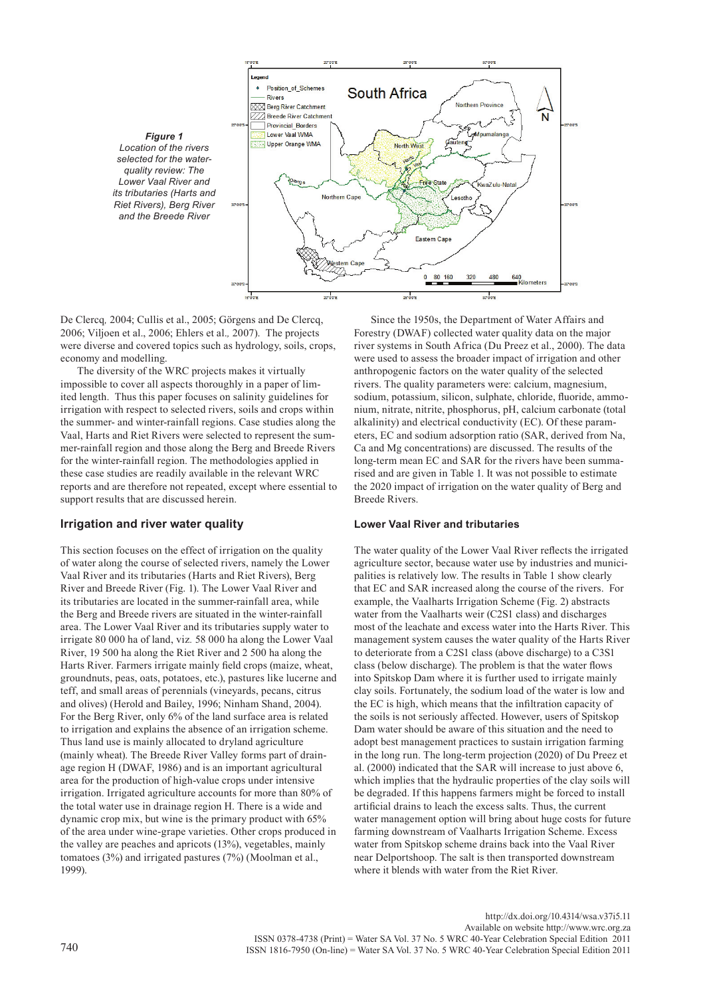

De Clercq*,* 2004; Cullis et al., 2005; Görgens and De Clercq, 2006; Viljoen et al., 2006; Ehlers et al.*,* 2007). The projects were diverse and covered topics such as hydrology, soils, crops, economy and modelling.

The diversity of the WRC projects makes it virtually impossible to cover all aspects thoroughly in a paper of limited length. Thus this paper focuses on salinity guidelines for irrigation with respect to selected rivers, soils and crops within the summer- and winter-rainfall regions. Case studies along the Vaal, Harts and Riet Rivers were selected to represent the summer-rainfall region and those along the Berg and Breede Rivers for the winter-rainfall region. The methodologies applied in these case studies are readily available in the relevant WRC reports and are therefore not repeated, except where essential to support results that are discussed herein.

# **Irrigation and river water quality**

This section focuses on the effect of irrigation on the quality of water along the course of selected rivers, namely the Lower Vaal River and its tributaries (Harts and Riet Rivers), Berg River and Breede River (Fig. 1). The Lower Vaal River and its tributaries are located in the summer-rainfall area, while the Berg and Breede rivers are situated in the winter-rainfall area. The Lower Vaal River and its tributaries supply water to irrigate 80 000 ha of land, viz*.* 58 000 ha along the Lower Vaal River, 19 500 ha along the Riet River and 2 500 ha along the Harts River. Farmers irrigate mainly field crops (maize, wheat, groundnuts, peas, oats, potatoes, etc.), pastures like lucerne and teff, and small areas of perennials (vineyards, pecans, citrus and olives) (Herold and Bailey, 1996; Ninham Shand, 2004). For the Berg River, only 6% of the land surface area is related to irrigation and explains the absence of an irrigation scheme. Thus land use is mainly allocated to dryland agriculture (mainly wheat). The Breede River Valley forms part of drainage region H (DWAF, 1986) and is an important agricultural area for the production of high-value crops under intensive irrigation. Irrigated agriculture accounts for more than 80% of the total water use in drainage region H. There is a wide and dynamic crop mix, but wine is the primary product with 65% of the area under wine-grape varieties. Other crops produced in the valley are peaches and apricots (13%), vegetables, mainly tomatoes (3%) and irrigated pastures (7%) (Moolman et al., 1999).

Since the 1950s, the Department of Water Affairs and Forestry (DWAF) collected water quality data on the major river systems in South Africa (Du Preez et al., 2000). The data were used to assess the broader impact of irrigation and other anthropogenic factors on the water quality of the selected rivers. The quality parameters were: calcium, magnesium, sodium, potassium, silicon, sulphate, chloride, fluoride, ammonium, nitrate, nitrite, phosphorus, pH, calcium carbonate (total alkalinity) and electrical conductivity (EC). Of these parameters, EC and sodium adsorption ratio (SAR, derived from Na, Ca and Mg concentrations) are discussed. The results of the long-term mean EC and SAR for the rivers have been summarised and are given in Table 1. It was not possible to estimate the 2020 impact of irrigation on the water quality of Berg and Breede Rivers.

#### **Lower Vaal River and tributaries**

The water quality of the Lower Vaal River reflects the irrigated agriculture sector, because water use by industries and municipalities is relatively low. The results in Table 1 show clearly that EC and SAR increased along the course of the rivers. For example, the Vaalharts Irrigation Scheme (Fig. 2) abstracts water from the Vaalharts weir (C2S1 class) and discharges most of the leachate and excess water into the Harts River. This management system causes the water quality of the Harts River to deteriorate from a C2S1 class (above discharge) to a C3S1 class (below discharge). The problem is that the water flows into Spitskop Dam where it is further used to irrigate mainly clay soils. Fortunately, the sodium load of the water is low and the EC is high, which means that the infiltration capacity of the soils is not seriously affected. However, users of Spitskop Dam water should be aware of this situation and the need to adopt best management practices to sustain irrigation farming in the long run. The long-term projection (2020) of Du Preez et al. (2000) indicated that the SAR will increase to just above 6, which implies that the hydraulic properties of the clay soils will be degraded. If this happens farmers might be forced to install artificial drains to leach the excess salts. Thus, the current water management option will bring about huge costs for future farming downstream of Vaalharts Irrigation Scheme. Excess water from Spitskop scheme drains back into the Vaal River near Delportshoop. The salt is then transported downstream where it blends with water from the Riet River.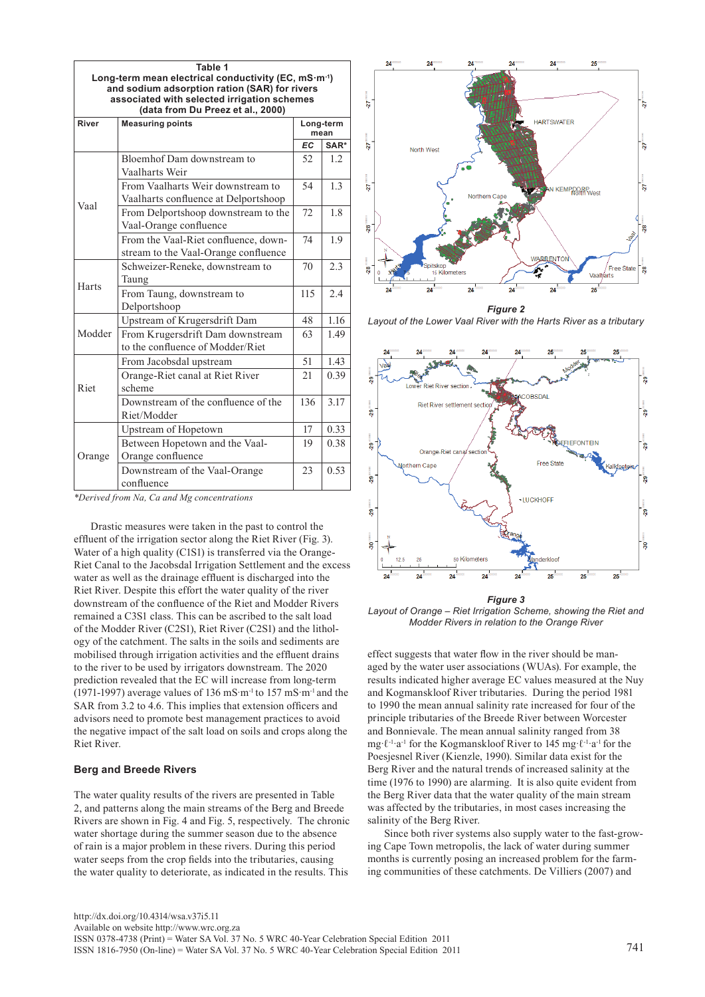|        | Table 1<br>Long-term mean electrical conductivity (EC, mS·m <sup>-1</sup> )<br>and sodium adsorption ration (SAR) for rivers<br>associated with selected irrigation schemes<br>(data from Du Preez et al., 2000) |           |                   |
|--------|------------------------------------------------------------------------------------------------------------------------------------------------------------------------------------------------------------------|-----------|-------------------|
| River  | <b>Measuring points</b>                                                                                                                                                                                          |           | Long-term<br>mean |
|        |                                                                                                                                                                                                                  | <b>EC</b> | SAR <sup>*</sup>  |
|        | Bloemhof Dam downstream to<br>Vaalharts Weir                                                                                                                                                                     | 52        | 1.2               |
|        | From Vaalharts Weir downstream to<br>Vaalharts confluence at Delportshoop                                                                                                                                        | 54        | 1.3               |
| Vaal   | From Delportshoop downstream to the<br>Vaal-Orange confluence                                                                                                                                                    | 72        | 1.8               |
|        | From the Vaal-Riet confluence, down-<br>stream to the Vaal-Orange confluence                                                                                                                                     | 74        | 1.9               |
|        | Schweizer-Reneke, downstream to<br>Taung                                                                                                                                                                         | 70        | 2.3               |
| Harts  | From Taung, downstream to<br>Delportshoop                                                                                                                                                                        | 115       | 2.4               |
|        | Upstream of Krugersdrift Dam                                                                                                                                                                                     | 48        | 1.16              |
| Modder | From Krugersdrift Dam downstream<br>to the confluence of Modder/Riet                                                                                                                                             | 63        | 1.49              |
|        | From Jacobsdal upstream                                                                                                                                                                                          | 51        | 1.43              |
| Riet   | Orange-Riet canal at Riet River<br>scheme                                                                                                                                                                        | 21        | 0.39              |
|        | Downstream of the confluence of the<br>Riet/Modder                                                                                                                                                               | 136       | 3.17              |
|        | Upstream of Hopetown                                                                                                                                                                                             | 17        | 0.33              |
| Orange | Between Hopetown and the Vaal-<br>Orange confluence                                                                                                                                                              | 19        | 0.38              |
|        | Downstream of the Vaal-Orange<br>confluence                                                                                                                                                                      | 23        | 0.53              |



Drastic measures were taken in the past to control the effluent of the irrigation sector along the Riet River (Fig. 3). Water of a high quality (C1S1) is transferred via the Orange-Riet Canal to the Jacobsdal Irrigation Settlement and the excess water as well as the drainage effluent is discharged into the Riet River. Despite this effort the water quality of the river downstream of the confluence of the Riet and Modder Rivers remained a C3S1 class. This can be ascribed to the salt load of the Modder River (C2S1), Riet River (C2S1) and the lithology of the catchment. The salts in the soils and sediments are mobilised through irrigation activities and the effluent drains to the river to be used by irrigators downstream. The 2020 prediction revealed that the EC will increase from long-term (1971-1997) average values of 136 mS·m-1 to 157 mS·m-1 and the SAR from 3.2 to 4.6. This implies that extension officers and advisors need to promote best management practices to avoid the negative impact of the salt load on soils and crops along the Riet River.

#### **Berg and Breede Rivers**

The water quality results of the rivers are presented in Table 2, and patterns along the main streams of the Berg and Breede Rivers are shown in Fig. 4 and Fig. 5, respectively. The chronic water shortage during the summer season due to the absence of rain is a major problem in these rivers. During this period water seeps from the crop fields into the tributaries, causing the water quality to deteriorate, as indicated in the results. This



*Layout of the Lower Vaal River with the Harts River as a tributary*



*Figure 3 Layout of Orange – Riet Irrigation Scheme, showing the Riet and Modder Rivers in relation to the Orange River* 

effect suggests that water flow in the river should be managed by the water user associations (WUAs). For example, the results indicated higher average EC values measured at the Nuy and Kogmanskloof River tributaries. During the period 1981 to 1990 the mean annual salinity rate increased for four of the principle tributaries of the Breede River between Worcester and Bonnievale. The mean annual salinity ranged from 38 mg·ℓ-1·a-1 for the Kogmanskloof River to 145 mg·ℓ-1·a-1 for the Poesjesnel River (Kienzle, 1990). Similar data exist for the Berg River and the natural trends of increased salinity at the time (1976 to 1990) are alarming. It is also quite evident from the Berg River data that the water quality of the main stream was affected by the tributaries, in most cases increasing the salinity of the Berg River.

Since both river systems also supply water to the fast-growing Cape Town metropolis, the lack of water during summer months is currently posing an increased problem for the farming communities of these catchments. De Villiers (2007) and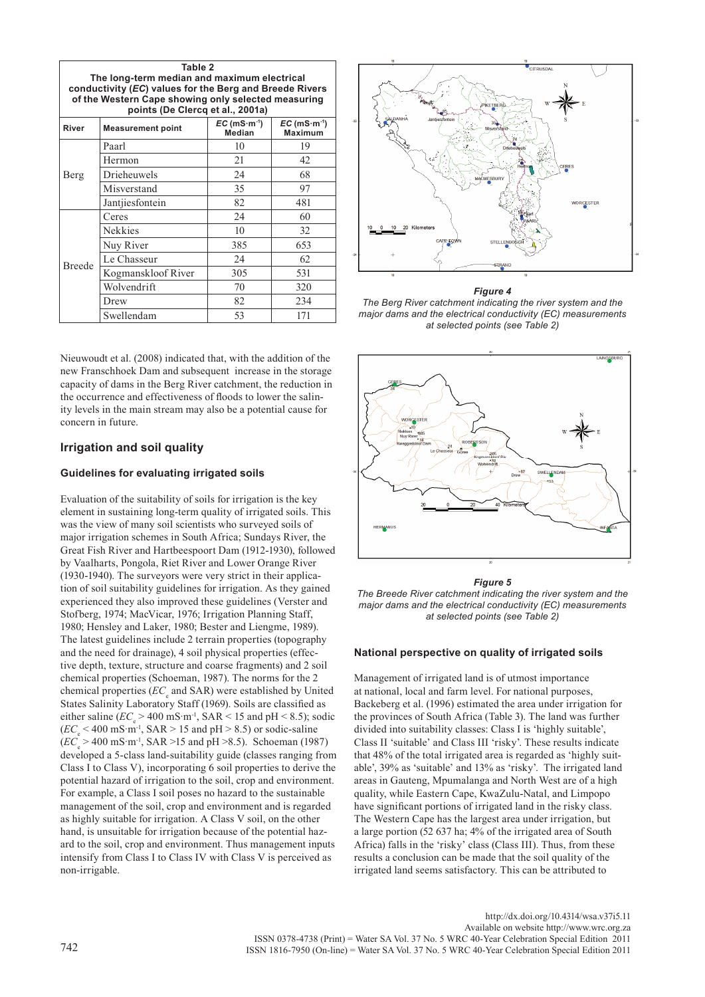| Table 2<br>The long-term median and maximum electrical<br>conductivity (EC) values for the Berg and Breede Rivers<br>of the Western Cape showing only selected measuring<br>points (De Clercq et al., 2001a) |                    |     |     |  |  |  |  |  |
|--------------------------------------------------------------------------------------------------------------------------------------------------------------------------------------------------------------|--------------------|-----|-----|--|--|--|--|--|
| $EC$ (mS $\cdot$ m $\cdot$ <sup>1</sup> )<br>$EC$ (mS $\cdot$ m $\cdot$ <sup>1</sup> )<br>River<br><b>Measurement point</b><br><b>Median</b><br><b>Maximum</b>                                               |                    |     |     |  |  |  |  |  |
|                                                                                                                                                                                                              | Paarl              | 10  | 19  |  |  |  |  |  |
|                                                                                                                                                                                                              | Hermon             | 21  | 42  |  |  |  |  |  |
| Berg                                                                                                                                                                                                         | Drieheuwels        | 24  | 68  |  |  |  |  |  |
|                                                                                                                                                                                                              | Misverstand        | 35  | 97  |  |  |  |  |  |
|                                                                                                                                                                                                              | Jantjiesfontein    | 82  | 481 |  |  |  |  |  |
|                                                                                                                                                                                                              | Ceres              | 24  | 60  |  |  |  |  |  |
|                                                                                                                                                                                                              | <b>Nekkies</b>     | 10  | 32  |  |  |  |  |  |
|                                                                                                                                                                                                              | Nuy River          | 385 | 653 |  |  |  |  |  |
| <b>Breede</b>                                                                                                                                                                                                | Le Chasseur        | 24  | 62  |  |  |  |  |  |
|                                                                                                                                                                                                              | Kogmanskloof River | 305 | 531 |  |  |  |  |  |
|                                                                                                                                                                                                              | Wolvendrift        | 70  | 320 |  |  |  |  |  |
|                                                                                                                                                                                                              | Drew               | 82  | 234 |  |  |  |  |  |
|                                                                                                                                                                                                              | Swellendam         | 53  | 171 |  |  |  |  |  |



# **Irrigation and soil quality**

## **Guidelines for evaluating irrigated soils**

Evaluation of the suitability of soils for irrigation is the key element in sustaining long-term quality of irrigated soils. This was the view of many soil scientists who surveyed soils of major irrigation schemes in South Africa; Sundays River, the Great Fish River and Hartbeespoort Dam (1912-1930), followed by Vaalharts, Pongola, Riet River and Lower Orange River (1930-1940). The surveyors were very strict in their application of soil suitability guidelines for irrigation. As they gained experienced they also improved these guidelines (Verster and Stofberg, 1974; MacVicar, 1976; Irrigation Planning Staff, 1980; Hensley and Laker, 1980; Bester and Liengme, 1989). The latest guidelines include 2 terrain properties (topography and the need for drainage), 4 soil physical properties (effective depth, texture, structure and coarse fragments) and 2 soil chemical properties (Schoeman, 1987). The norms for the 2 chemical properties (*EC*<sub>e</sub> and SAR) were established by United States Salinity Laboratory Staff (1969). Soils are classified as either saline ( $EC_e > 400$  mS·m<sup>-1</sup>, SAR < 15 and pH < 8.5); sodic  $(EC<sub>e</sub> < 400 \text{ mS} \cdot \text{m}^{-1}, \text{SAR} > 15 \text{ and } \text{pH} > 8.5) \text{ or} \text{ sodic-saline}$  $(EC_e > 400 \text{ mS} \cdot \text{m}^{-1}, \text{SAR} > 15 \text{ and pH} > 8.5)$ . Schoeman (1987) developed a 5-class land-suitability guide (classes ranging from Class I to Class V), incorporating 6 soil properties to derive the potential hazard of irrigation to the soil, crop and environment. For example, a Class I soil poses no hazard to the sustainable management of the soil, crop and environment and is regarded as highly suitable for irrigation. A Class V soil, on the other hand, is unsuitable for irrigation because of the potential hazard to the soil, crop and environment. Thus management inputs intensify from Class I to Class IV with Class V is perceived as non-irrigable.



# *Figure 4*

*The Berg River catchment indicating the river system and the major dams and the electrical conductivity (EC) measurements at selected points (see Table 2)*



*Figure 5*

*The Breede River catchment indicating the river system and the major dams and the electrical conductivity (EC) measurements at selected points (see Table 2)*

#### **National perspective on quality of irrigated soils**

Management of irrigated land is of utmost importance at national, local and farm level. For national purposes, Backeberg et al. (1996) estimated the area under irrigation for the provinces of South Africa (Table 3). The land was further divided into suitability classes: Class I is 'highly suitable', Class II 'suitable' and Class III 'risky'. These results indicate that 48% of the total irrigated area is regarded as 'highly suitable', 39% as 'suitable' and 13% as 'risky'. The irrigated land areas in Gauteng, Mpumalanga and North West are of a high quality, while Eastern Cape, KwaZulu-Natal, and Limpopo have significant portions of irrigated land in the risky class. The Western Cape has the largest area under irrigation, but a large portion (52 637 ha; 4% of the irrigated area of South Africa) falls in the 'risky' class (Class III). Thus, from these results a conclusion can be made that the soil quality of the irrigated land seems satisfactory. This can be attributed to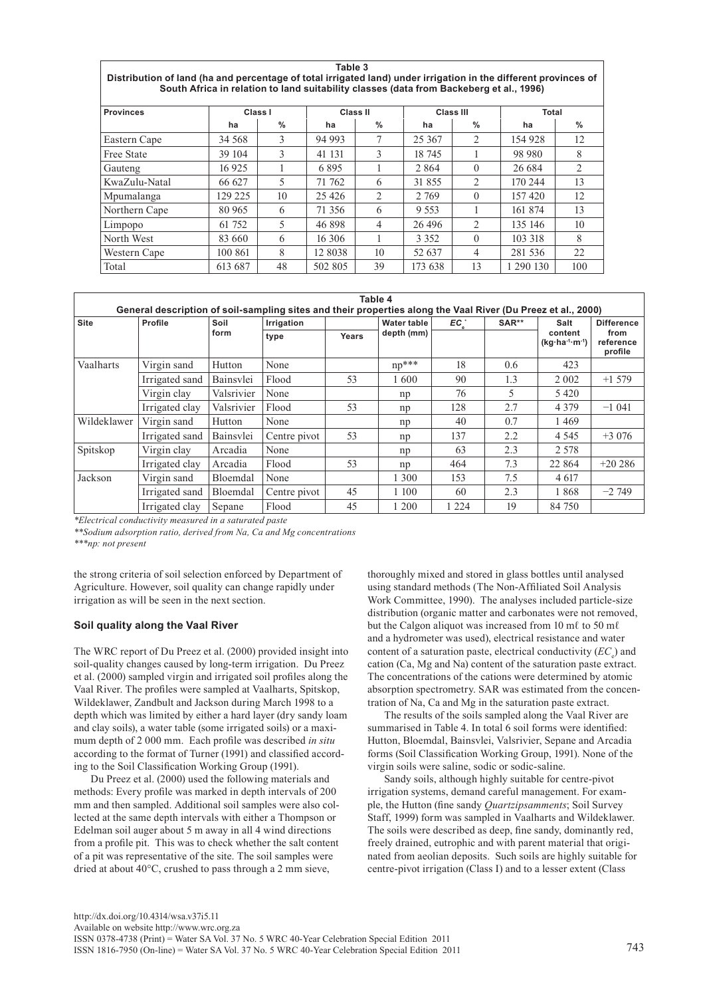**Table 3 Distribution of land (ha and percentage of total irrigated land) under irrigation in the different provinces of South Africa in relation to land suitability classes (data from Backeberg et al., 1996)**

| <b>Provinces</b>  | Class I |      | Class II |                | <b>Class III</b> |                | Total     |      |  |  |
|-------------------|---------|------|----------|----------------|------------------|----------------|-----------|------|--|--|
|                   | ha      | $\%$ | ha       | $\%$           | ha               | $\%$           | ha        | $\%$ |  |  |
| Eastern Cape      | 34 5 68 | 3    | 94 993   | $\mathcal{I}$  | 25 3 67          | 2              | 154 928   | 12   |  |  |
| <b>Free State</b> | 39 104  | 3    | 41 131   | 3              | 18 745           |                | 98 980    | 8    |  |  |
| Gauteng           | 16 925  |      | 6895     |                | 2864             | $\theta$       | 26 6 8 4  | 2    |  |  |
| KwaZulu-Natal     | 66 627  | 5    | 71 762   | 6              | 31 855           | 2              | 170 244   | 13   |  |  |
| Mpumalanga        | 129 225 | 10   | 25 4 26  | $\overline{2}$ | 2 7 6 9          | $\Omega$       | 157420    | 12   |  |  |
| Northern Cape     | 80 965  | 6    | 71 356   | 6              | 9 5 5 3          |                | 161 874   | 13   |  |  |
| Limpopo           | 61 752  | 5    | 46 898   | 4              | 26 4 96          | 2              | 135 146   | 10   |  |  |
| North West        | 83 660  | 6    | 16 30 6  |                | 3 3 5 2          | $\Omega$       | 103 318   | 8    |  |  |
| Western Cape      | 100 861 | 8    | 12 8038  | 10             | 52 637           | $\overline{4}$ | 281 536   | 22   |  |  |
| Total             | 613 687 | 48   | 502 805  | 39             | 173 638          | 13             | 1 290 130 | 100  |  |  |

|             | General description of soil-sampling sites and their properties along the Vaal River (Du Preez et al., 2000) |              |              |       | Table 4            |         |       |                                    |                              |
|-------------|--------------------------------------------------------------------------------------------------------------|--------------|--------------|-------|--------------------|---------|-------|------------------------------------|------------------------------|
| <b>Site</b> | Profile                                                                                                      | Soil<br>form | Irrigation   |       | <b>Water table</b> | $EC^*$  | SAR** | Salt<br>content<br>$(kq·ha-1·m-1)$ | <b>Difference</b>            |
|             |                                                                                                              |              | type         | Years | depth (mm)         |         |       |                                    | from<br>reference<br>profile |
| Vaalharts   | Virgin sand                                                                                                  | Hutton       | None         |       | $np^{***}$         | 18      | 0.6   | 423                                |                              |
|             | Irrigated sand                                                                                               | Bainsylei    | Flood        | 53    | 1600               | 90      | 1.3   | 2 0 0 2                            | $+1579$                      |
|             | Virgin clay                                                                                                  | Valsrivier   | None         |       | np                 | 76      | 5     | 5420                               |                              |
|             | Irrigated clay                                                                                               | Valsrivier   | Flood        | 53    | np                 | 128     | 2.7   | 4 3 7 9                            | $-1041$                      |
| Wildeklawer | Virgin sand                                                                                                  | Hutton       | None         |       | np                 | 40      | 0.7   | 1469                               |                              |
|             | Irrigated sand                                                                                               | Bainsylei    | Centre pivot | 53    | np                 | 137     | 2.2   | 4 5 4 5                            | $+3076$                      |
| Spitskop    | Virgin clay                                                                                                  | Arcadia      | None         |       | np                 | 63      | 2.3   | 2 5 7 8                            |                              |
|             | Irrigated clay                                                                                               | Arcadia      | Flood        | 53    | np                 | 464     | 7.3   | 22 864                             | $+20286$                     |
| Jackson     | Virgin sand                                                                                                  | Bloemdal     | None         |       | 1 300              | 153     | 7.5   | 4 6 17                             |                              |
|             | Irrigated sand                                                                                               | Bloemdal     | Centre pivot | 45    | 1 100              | 60      | 2.3   | 1868                               | $-2749$                      |
|             | Irrigated clay                                                                                               | Sepane       | Flood        | 45    | 1 200              | 1 2 2 4 | 19    | 84 750                             |                              |

*\*Electrical conductivity measured in a saturated paste*

*\*\*Sodium adsorption ratio, derived from Na, Ca and Mg concentrations \*\*\*np: not present*

the strong criteria of soil selection enforced by Department of Agriculture. However, soil quality can change rapidly under irrigation as will be seen in the next section.

## **Soil quality along the Vaal River**

The WRC report of Du Preez et al. (2000) provided insight into soil-quality changes caused by long-term irrigation. Du Preez et al. (2000) sampled virgin and irrigated soil profiles along the Vaal River. The profiles were sampled at Vaalharts, Spitskop, Wildeklawer, Zandbult and Jackson during March 1998 to a depth which was limited by either a hard layer (dry sandy loam and clay soils), a water table (some irrigated soils) or a maximum depth of 2 000 mm. Each profile was described *in situ* according to the format of Turner (1991) and classified according to the Soil Classification Working Group (1991).

Du Preez et al. (2000) used the following materials and methods: Every profile was marked in depth intervals of 200 mm and then sampled. Additional soil samples were also collected at the same depth intervals with either a Thompson or Edelman soil auger about 5 m away in all 4 wind directions from a profile pit. This was to check whether the salt content of a pit was representative of the site. The soil samples were dried at about 40°C, crushed to pass through a 2 mm sieve,

thoroughly mixed and stored in glass bottles until analysed using standard methods (The Non-Affiliated Soil Analysis Work Committee, 1990). The analyses included particle-size distribution (organic matter and carbonates were not removed, but the Calgon aliquot was increased from 10 mℓ to 50 mℓ and a hydrometer was used), electrical resistance and water content of a saturation paste, electrical conductivity (*EC*<sub>e</sub>) and cation (Ca, Mg and Na) content of the saturation paste extract. The concentrations of the cations were determined by atomic absorption spectrometry. SAR was estimated from the concentration of Na, Ca and Mg in the saturation paste extract.

The results of the soils sampled along the Vaal River are summarised in Table 4. In total 6 soil forms were identified: Hutton, Bloemdal, Bainsvlei, Valsrivier, Sepane and Arcadia forms (Soil Classification Working Group, 1991). None of the virgin soils were saline, sodic or sodic-saline.

Sandy soils, although highly suitable for centre-pivot irrigation systems, demand careful management. For example, the Hutton (fine sandy *Quartzipsamments*; Soil Survey Staff, 1999) form was sampled in Vaalharts and Wildeklawer. The soils were described as deep, fine sandy, dominantly red, freely drained, eutrophic and with parent material that originated from aeolian deposits. Such soils are highly suitable for centre-pivot irrigation (Class I) and to a lesser extent (Class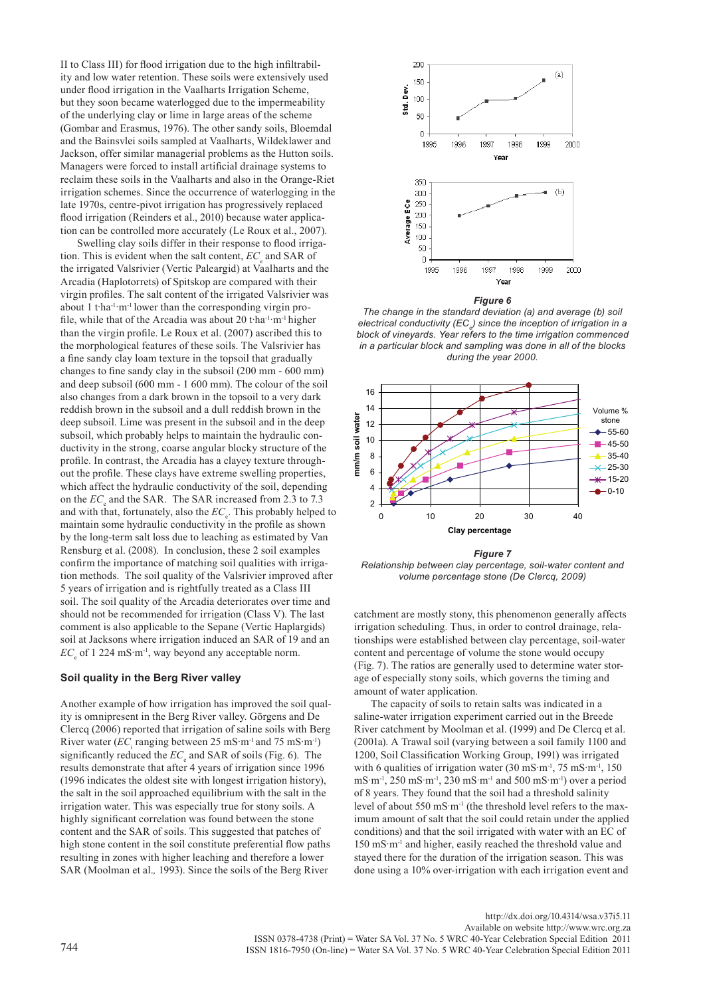II to Class III) for flood irrigation due to the high infiltrability and low water retention. These soils were extensively used under flood irrigation in the Vaalharts Irrigation Scheme, but they soon became waterlogged due to the impermeability of the underlying clay or lime in large areas of the scheme (Gombar and Erasmus, 1976). The other sandy soils, Bloemdal and the Bainsvlei soils sampled at Vaalharts, Wildeklawer and Jackson, offer similar managerial problems as the Hutton soils. Managers were forced to install artificial drainage systems to reclaim these soils in the Vaalharts and also in the Orange-Riet irrigation schemes. Since the occurrence of waterlogging in the late 1970s, centre-pivot irrigation has progressively replaced flood irrigation (Reinders et al., 2010) because water application can be controlled more accurately (Le Roux et al., 2007).

Swelling clay soils differ in their response to flood irrigation. This is evident when the salt content,  $EC_e$  and SAR of the irrigated Valsrivier (Vertic Paleargid) at Vaalharts and the Arcadia (Haplotorrets) of Spitskop are compared with their virgin profiles. The salt content of the irrigated Valsrivier was about 1 t·ha-1·m-1 lower than the corresponding virgin profile, while that of the Arcadia was about 20 t·ha-1·m-1 higher than the virgin profile. Le Roux et al. (2007) ascribed this to the morphological features of these soils. The Valsrivier has a fine sandy clay loam texture in the topsoil that gradually changes to fine sandy clay in the subsoil (200 mm - 600 mm) and deep subsoil (600 mm - 1 600 mm). The colour of the soil also changes from a dark brown in the topsoil to a very dark reddish brown in the subsoil and a dull reddish brown in the deep subsoil. Lime was present in the subsoil and in the deep subsoil, which probably helps to maintain the hydraulic conductivity in the strong, coarse angular blocky structure of the profile. In contrast, the Arcadia has a clayey texture throughout the profile. These clays have extreme swelling properties, which affect the hydraulic conductivity of the soil, depending on the  $EC_e$  and the SAR. The SAR increased from 2.3 to 7.3 and with that, fortunately, also the  $EC_e$ . This probably helped to maintain some hydraulic conductivity in the profile as shown by the long-term salt loss due to leaching as estimated by Van Rensburg et al. (2008). In conclusion, these 2 soil examples confirm the importance of matching soil qualities with irrigation methods. The soil quality of the Valsrivier improved after 5 years of irrigation and is rightfully treated as a Class III soil. The soil quality of the Arcadia deteriorates over time and should not be recommended for irrigation (Class V). The last comment is also applicable to the Sepane (Vertic Haplargids) soil at Jacksons where irrigation induced an SAR of 19 and an  $EC<sub>e</sub>$  of 1 224 mS·m<sup>-1</sup>, way beyond any acceptable norm.

### **Soil quality in the Berg River valley**

Another example of how irrigation has improved the soil quality is omnipresent in the Berg River valley. Görgens and De Clercq (2006) reported that irrigation of saline soils with Berg River water  $(EC<sub>i</sub>$  ranging between 25 mS·m<sup>-1</sup> and 75 mS·m<sup>-1</sup>) significantly reduced the  $EC_e$  and SAR of soils (Fig. 6). The results demonstrate that after 4 years of irrigation since 1996 (1996 indicates the oldest site with longest irrigation history), the salt in the soil approached equilibrium with the salt in the irrigation water. This was especially true for stony soils. A highly significant correlation was found between the stone content and the SAR of soils. This suggested that patches of high stone content in the soil constitute preferential flow paths resulting in zones with higher leaching and therefore a lower SAR (Moolman et al.*,* 1993). Since the soils of the Berg River



*Figure 6*

*The change in the standard deviation (a) and average (b) soil electrical conductivity (ECe ) since the inception of irrigation in a block of vineyards. Year refers to the time irrigation commenced in a particular block and sampling was done in all of the blocks during the year 2000.*



*Figure 7*

*Relationship between clay percentage, soil-water content and volume percentage stone (De Clercq, 2009)*

catchment are mostly stony, this phenomenon generally affects irrigation scheduling. Thus, in order to control drainage, relationships were established between clay percentage, soil-water content and percentage of volume the stone would occupy (Fig. 7). The ratios are generally used to determine water storage of especially stony soils, which governs the timing and amount of water application.

The capacity of soils to retain salts was indicated in a saline-water irrigation experiment carried out in the Breede River catchment by Moolman et al. (1999) and De Clercq et al. (2001a). A Trawal soil (varying between a soil family 1100 and 1200, Soil Classification Working Group, 1991) was irrigated with 6 qualities of irrigation water  $(30 \text{ mS} \cdot \text{m}^{-1}, 75 \text{ mS} \cdot \text{m}^{-1}, 150 \text{ m}^{-1})$ mS·m-1, 250 mS·m-1, 230 mS·m-1 and 500 mS·m-1) over a period of 8 years. They found that the soil had a threshold salinity level of about 550 mS·m<sup>-1</sup> (the threshold level refers to the maximum amount of salt that the soil could retain under the applied conditions) and that the soil irrigated with water with an EC of 150 mS·m-1 and higher, easily reached the threshold value and stayed there for the duration of the irrigation season. This was done using a 10% over-irrigation with each irrigation event and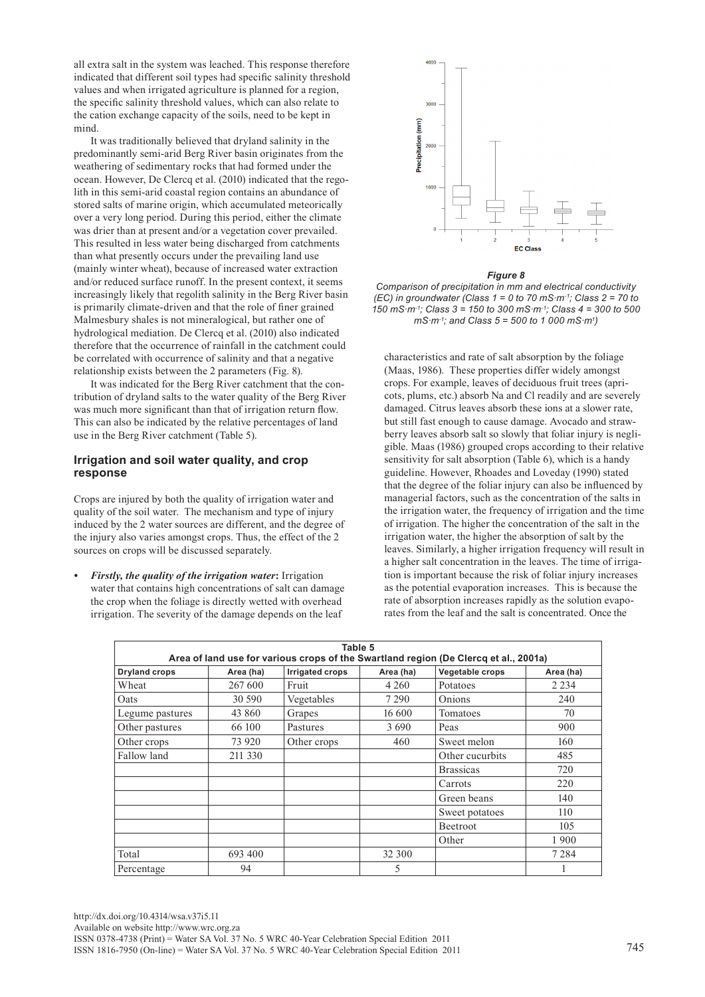all extra salt in the system was leached. This response therefore indicated that different soil types had specific salinity threshold values and when irrigated agriculture is planned for a region, the specific salinity threshold values, which can also relate to the cation exchange capacity of the soils, need to be kept in mind.

It was traditionally believed that dryland salinity in the predominantly semi-arid Berg River basin originates from the weathering of sedimentary rocks that had formed under the ocean. However, De Clercq et al. (2010) indicated that the regolith in this semi-arid coastal region contains an abundance of stored salts of marine origin, which accumulated meteorically over a very long period. During this period, either the climate was drier than at present and/or a vegetation cover prevailed. This resulted in less water being discharged from catchments than what presently occurs under the prevailing land use (mainly winter wheat), because of increased water extraction and/or reduced surface runoff. In the present context, it seems increasingly likely that regolith salinity in the Berg River basin is primarily climate-driven and that the role of finer grained Malmesbury shales is not mineralogical, but rather one of hydrological mediation. De Clercq et al. (2010) also indicated therefore that the occurrence of rainfall in the catchment could be correlated with occurrence of salinity and that a negative relationship exists between the 2 parameters (Fig. 8).

It was indicated for the Berg River catchment that the contribution of dryland salts to the water quality of the Berg River was much more significant than that of irrigation return flow. This can also be indicated by the relative percentages of land use in the Berg River catchment (Table 5).

# **Irrigation and soil water quality, and crop response**

Crops are injured by both the quality of irrigation water and quality of the soil water.The mechanism and type of injury induced by the 2 water sources are different, and the degree of the injury also varies amongst crops. Thus, the effect of the 2 sources on crops will be discussed separately.

*• Firstly, the quality of the irrigation water***:** Irrigation water that contains high concentrations of salt can damage the crop when the foliage is directly wetted with overhead irrigation. The severity of the damage depends on the leaf



## *Figure 8*

*Comparison of precipitation in mm and electrical conductivity (EC) in groundwater (Class 1 = 0 to 70 mS·m-1; Class 2 = 70 to 150 mS·m-1; Class 3 = 150 to 300 mS·m-1; Class 4 = 300 to 500 mS·m-1; and Class 5 = 500 to 1 000 mS·m1 )* 

characteristics and rate of salt absorption by the foliage (Maas, 1986). These properties differ widely amongst crops. For example, leaves of deciduous fruit trees (apricots, plums, etc.) absorb Na and Cl readily and are severely damaged. Citrus leaves absorb these ions at a slower rate, but still fast enough to cause damage. Avocado and strawberry leaves absorb salt so slowly that foliar injury is negligible. Maas (1986) grouped crops according to their relative sensitivity for salt absorption (Table 6), which is a handy guideline. However, Rhoades and Loveday (1990) stated that the degree of the foliar injury can also be influenced by managerial factors, such as the concentration of the salts in the irrigation water, the frequency of irrigation and the time of irrigation. The higher the concentration of the salt in the irrigation water, the higher the absorption of salt by the leaves. Similarly, a higher irrigation frequency will result in a higher salt concentration in the leaves. The time of irrigation is important because the risk of foliar injury increases as the potential evaporation increases. This is because the rate of absorption increases rapidly as the solution evaporates from the leaf and the salt is concentrated. Once the

|                      |           | Table 5                |           | Area of land use for various crops of the Swartland region (De Clercq et al., 2001a) |           |
|----------------------|-----------|------------------------|-----------|--------------------------------------------------------------------------------------|-----------|
| <b>Dryland crops</b> | Area (ha) | <b>Irrigated crops</b> | Area (ha) | Vegetable crops                                                                      | Area (ha) |
| Wheat                | 267 600   | Fruit                  | 4 2 6 0   | Potatoes                                                                             | 2 2 3 4   |
| Oats                 | 30 590    | Vegetables             | 7 2 9 0   | Onions                                                                               | 240       |
| Legume pastures      | 43 860    | Grapes                 | 16 600    | Tomatoes                                                                             | 70        |
| Other pastures       | 66 100    | Pastures               | 3690      | Peas                                                                                 | 900       |
| Other crops          | 73 920    | Other crops            | 460       | Sweet melon                                                                          | 160       |
| Fallow land          | 211 330   |                        |           | Other cucurbits                                                                      | 485       |
|                      |           |                        |           | <b>Brassicas</b>                                                                     | 720       |
|                      |           |                        |           | Carrots                                                                              | 220       |
|                      |           |                        |           | Green beans                                                                          | 140       |
|                      |           |                        |           | Sweet potatoes                                                                       | 110       |
|                      |           |                        |           | Beetroot                                                                             | 105       |
|                      |           |                        |           | Other                                                                                | 1900      |
| Total                | 693 400   |                        | 32 300    |                                                                                      | 7 2 8 4   |
| Percentage           | 94        |                        | 5         |                                                                                      |           |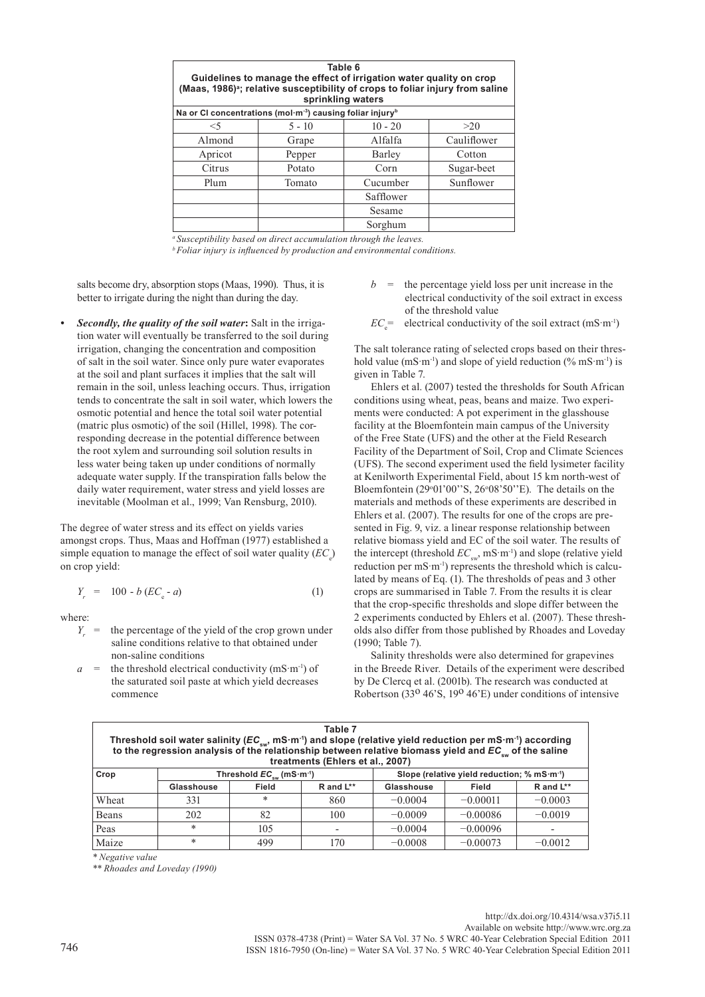| Table 6<br>Guidelines to manage the effect of irrigation water quality on crop<br>(Maas, 1986) <sup>a</sup> ; relative susceptibility of crops to foliar injury from saline<br>sprinkling waters |                                                                                   |           |             |  |  |  |  |
|--------------------------------------------------------------------------------------------------------------------------------------------------------------------------------------------------|-----------------------------------------------------------------------------------|-----------|-------------|--|--|--|--|
|                                                                                                                                                                                                  | Na or CI concentrations (mol·m <sup>-3</sup> ) causing foliar injury <sup>b</sup> |           |             |  |  |  |  |
| $<$ 5                                                                                                                                                                                            | $5 - 10$                                                                          | $10 - 20$ | >20         |  |  |  |  |
| Almond                                                                                                                                                                                           | Grape                                                                             | Alfalfa   | Cauliflower |  |  |  |  |
| Apricot                                                                                                                                                                                          | Pepper                                                                            | Barley    | Cotton      |  |  |  |  |
| Citrus                                                                                                                                                                                           | Potato                                                                            | Corn      | Sugar-beet  |  |  |  |  |
| Plum                                                                                                                                                                                             | Tomato                                                                            | Cucumber  | Sunflower   |  |  |  |  |
|                                                                                                                                                                                                  |                                                                                   | Safflower |             |  |  |  |  |
|                                                                                                                                                                                                  |                                                                                   | Sesame    |             |  |  |  |  |
|                                                                                                                                                                                                  |                                                                                   | Sorghum   |             |  |  |  |  |

*a Susceptibility based on direct accumulation through the leaves. <sup>b</sup>Foliar injury is influenced by production and environmental conditions.*

salts become dry, absorption stops (Maas, 1990). Thus, it is better to irrigate during the night than during the day.

*• Secondly, the quality of the soil water***:** Salt in the irrigation water will eventually be transferred to the soil during irrigation, changing the concentration and composition of salt in the soil water. Since only pure water evaporates at the soil and plant surfaces it implies that the salt will remain in the soil, unless leaching occurs. Thus, irrigation tends to concentrate the salt in soil water, which lowers the osmotic potential and hence the total soil water potential (matric plus osmotic) of the soil (Hillel, 1998). The corresponding decrease in the potential difference between the root xylem and surrounding soil solution results in less water being taken up under conditions of normally adequate water supply. If the transpiration falls below the daily water requirement, water stress and yield losses are inevitable (Moolman et al., 1999; Van Rensburg, 2010).

The degree of water stress and its effect on yields varies amongst crops. Thus, Maas and Hoffman (1977) established a simple equation to manage the effect of soil water quality  $(EC_{e})$ on crop yield:

$$
Y_r = 100 - b (EC_e - a)
$$
 (1)

where:

- $Y<sub>r</sub>$  = the percentage of the yield of the crop grown under saline conditions relative to that obtained under non-saline conditions
- $a =$  the threshold electrical conductivity (mS·m<sup>-1</sup>) of the saturated soil paste at which yield decreases commence
- $b =$  the percentage yield loss per unit increase in the electrical conductivity of the soil extract in excess of the threshold value
- $EC_e^{\dagger}$  electrical conductivity of the soil extract (mS·m<sup>-1</sup>)

The salt tolerance rating of selected crops based on their threshold value  $(mS·m^{-1})$  and slope of yield reduction  $(\% mS·m^{-1})$  is given in Table 7.

Ehlers et al. (2007) tested the thresholds for South African conditions using wheat, peas, beans and maize. Two experiments were conducted: A pot experiment in the glasshouse facility at the Bloemfontein main campus of the University of the Free State (UFS) and the other at the Field Research Facility of the Department of Soil, Crop and Climate Sciences (UFS). The second experiment used the field lysimeter facility at Kenilworth Experimental Field, about 15 km north-west of Bloemfontein  $(29°01'00"S, 26°08'50"E)$ . The details on the materials and methods of these experiments are described in Ehlers et al. (2007). The results for one of the crops are presented in Fig. 9, viz. a linear response relationship between relative biomass yield and EC of the soil water. The results of the intercept (threshold  $EC_{\text{env}}$ , mS·m<sup>-1</sup>) and slope (relative yield reduction per mS·m<sup>-1</sup>) represents the threshold which is calculated by means of Eq. (1). The thresholds of peas and 3 other crops are summarised in Table 7. From the results it is clear that the crop-specific thresholds and slope differ between the 2 experiments conducted by Ehlers et al. (2007). These thresholds also differ from those published by Rhoades and Loveday (1990; Table 7).

Salinity thresholds were also determined for grapevines in the Breede River. Details of the experiment were described by De Clercq et al. (2001b). The research was conducted at Robertson (33<sup>0</sup> 46'S, 19<sup>0</sup> 46'E) under conditions of intensive

| Table 7<br>Threshold soil water salinity ( $EC_{\text{sw}}$ , mS·m <sup>-1</sup> ) and slope (relative yield reduction per mS·m <sup>-1</sup> ) according to the regression analysis of the relationship between relative biomass yield and $EC_{\text{sw}}$ of the saline<br>treatments (Ehlers et al., 2007) |            |                                                                       |                          |            |                                                         |                  |  |  |
|----------------------------------------------------------------------------------------------------------------------------------------------------------------------------------------------------------------------------------------------------------------------------------------------------------------|------------|-----------------------------------------------------------------------|--------------------------|------------|---------------------------------------------------------|------------------|--|--|
| Crop                                                                                                                                                                                                                                                                                                           |            | Threshold $EC_{\scriptscriptstyle{\text{sur}}}$ (mS·m <sup>-1</sup> ) |                          |            | Slope (relative yield reduction; % mS·m <sup>-1</sup> ) |                  |  |  |
|                                                                                                                                                                                                                                                                                                                | Glasshouse | Field                                                                 | R and L**                | Glasshouse | Field                                                   | $R$ and $L^{**}$ |  |  |
| Wheat                                                                                                                                                                                                                                                                                                          | 331        | $\ast$                                                                | 860                      | $-0.0004$  | $-0.00011$                                              | $-0.0003$        |  |  |
| Beans                                                                                                                                                                                                                                                                                                          | 202        | 82                                                                    | 100                      | $-0.0009$  | $-0.00086$                                              | $-0.0019$        |  |  |
| Peas                                                                                                                                                                                                                                                                                                           | *          | 105                                                                   | $\overline{\phantom{a}}$ | $-0.0004$  | $-0.00096$                                              |                  |  |  |
| Maize                                                                                                                                                                                                                                                                                                          | *          | 499                                                                   | 170                      | $-0.0008$  | $-0.00073$                                              | $-0.0012$        |  |  |

*\* Negative value*

*\*\* Rhoades and Loveday (1990)*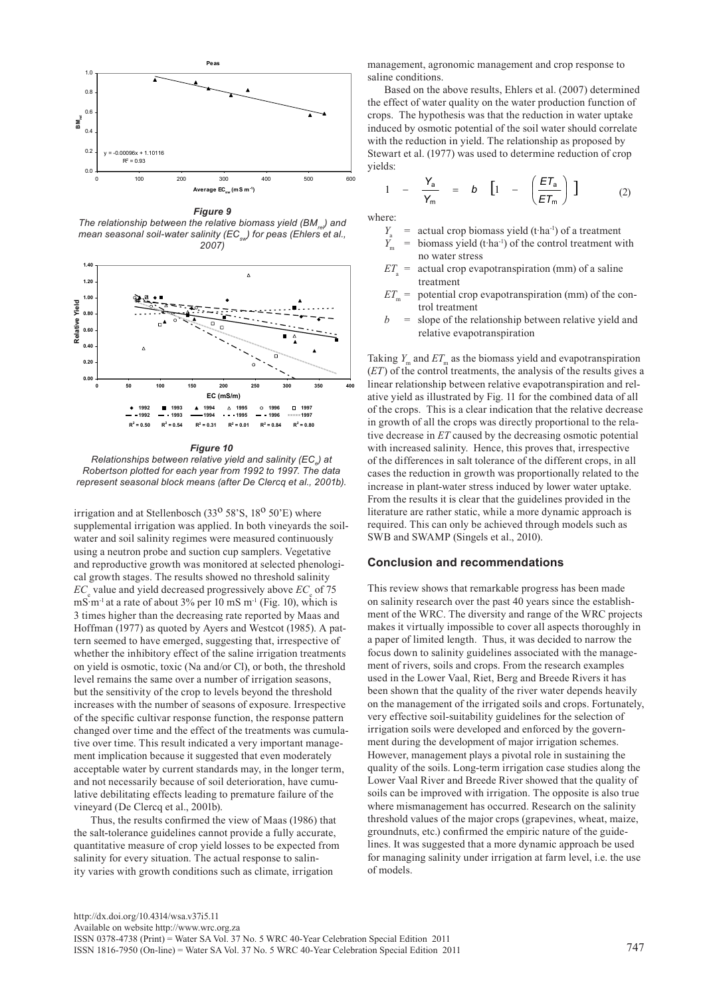

*Figure 9 The relationship between the relative biomass yield (BM<sub>ne</sub>) and mean seasonal soil-water salinity (EC<sub>sw</sub>) for peas (Ehlers et al., 2007)*



*Figure 10*

 $R$ elationships between relative yield and salinity (EC<sub>e</sub>) at *Robertson plotted for each year from 1992 to 1997. The data represent seasonal block means (after De Clercq et al., 2001b).*

irrigation and at Stellenbosch (33<sup>o</sup> 58'S,  $18<sup>o</sup>$  50'E) where supplemental irrigation was applied. In both vineyards the soilwater and soil salinity regimes were measured continuously using a neutron probe and suction cup samplers. Vegetative and reproductive growth was monitored at selected phenological growth stages. The results showed no threshold salinity *EC*<sub>e</sub> value and yield decreased progressively above *EC*<sub>e</sub> of 75  $\text{mS·m}^{-1}$  at a rate of about 3% per 10 mS m<sup>-1</sup> (Fig. 10), which is 3 times higher than the decreasing rate reported by Maas and Hoffman (1977) as quoted by Ayers and Westcot (1985). A pattern seemed to have emerged, suggesting that, irrespective of whether the inhibitory effect of the saline irrigation treatments on yield is osmotic, toxic (Na and/or Cl), or both, the threshold level remains the same over a number of irrigation seasons, but the sensitivity of the crop to levels beyond the threshold increases with the number of seasons of exposure. Irrespective of the specific cultivar response function, the response pattern changed over time and the effect of the treatments was cumulative over time. This result indicated a very important management implication because it suggested that even moderately acceptable water by current standards may, in the longer term, and not necessarily because of soil deterioration, have cumulative debilitating effects leading to premature failure of the vineyard (De Clercq et al., 2001b).

Thus, the results confirmed the view of Maas (1986) that the salt-tolerance guidelines cannot provide a fully accurate, quantitative measure of crop yield losses to be expected from salinity for every situation. The actual response to salinity varies with growth conditions such as climate, irrigation

management, agronomic management and crop response to saline conditions.

Based on the above results, Ehlers et al. (2007) determined the effect of water quality on the water production function of crops. The hypothesis was that the reduction in water uptake induced by osmotic potential of the soil water should correlate with the reduction in yield. The relationship as proposed by Stewart et al. (1977) was used to determine reduction of crop yields:

$$
1 - \frac{Y_a}{Y_m} = b \left[ 1 - \left( \frac{ET_a}{ET_m} \right) \right] \tag{2}
$$

where:

- 
- *Y*<sub>a</sub> = actual crop biomass yield (t·ha<sup>-1</sup>) of a treatment  $Y_m$  = biomass yield (t·ha<sup>-1</sup>) of the control treatment w biomass yield (t·ha<sup>-1</sup>) of the control treatment with no water stress
- $ET$  = actual crop evapotranspiration (mm) of a saline treatment
- $ET_m$  = potential crop evapotranspiration (mm) of the control treatment
- $b =$  slope of the relationship between relative yield and relative evapotranspiration

Taking  $Y_m$  and  $ET_m$  as the biomass yield and evapotranspiration (*ET*) of the control treatments, the analysis of the results gives a linear relationship between relative evapotranspiration and relative yield as illustrated by Fig. 11 for the combined data of all of the crops. This is a clear indication that the relative decrease in growth of all the crops was directly proportional to the relative decrease in *ET* caused by the decreasing osmotic potential with increased salinity. Hence, this proves that, irrespective of the differences in salt tolerance of the different crops, in all cases the reduction in growth was proportionally related to the increase in plant-water stress induced by lower water uptake. From the results it is clear that the guidelines provided in the literature are rather static, while a more dynamic approach is required. This can only be achieved through models such as SWB and SWAMP (Singels et al., 2010).

## **Conclusion and recommendations**

This review shows that remarkable progress has been made on salinity research over the past 40 years since the establishment of the WRC. The diversity and range of the WRC projects makes it virtually impossible to cover all aspects thoroughly in a paper of limited length. Thus, it was decided to narrow the focus down to salinity guidelines associated with the management of rivers, soils and crops. From the research examples used in the Lower Vaal, Riet, Berg and Breede Rivers it has been shown that the quality of the river water depends heavily on the management of the irrigated soils and crops. Fortunately, very effective soil-suitability guidelines for the selection of irrigation soils were developed and enforced by the government during the development of major irrigation schemes. However, management plays a pivotal role in sustaining the quality of the soils. Long-term irrigation case studies along the Lower Vaal River and Breede River showed that the quality of soils can be improved with irrigation. The opposite is also true where mismanagement has occurred. Research on the salinity threshold values of the major crops (grapevines, wheat, maize, groundnuts, etc.) confirmed the empiric nature of the guidelines. It was suggested that a more dynamic approach be used for managing salinity under irrigation at farm level, i.e. the use of models.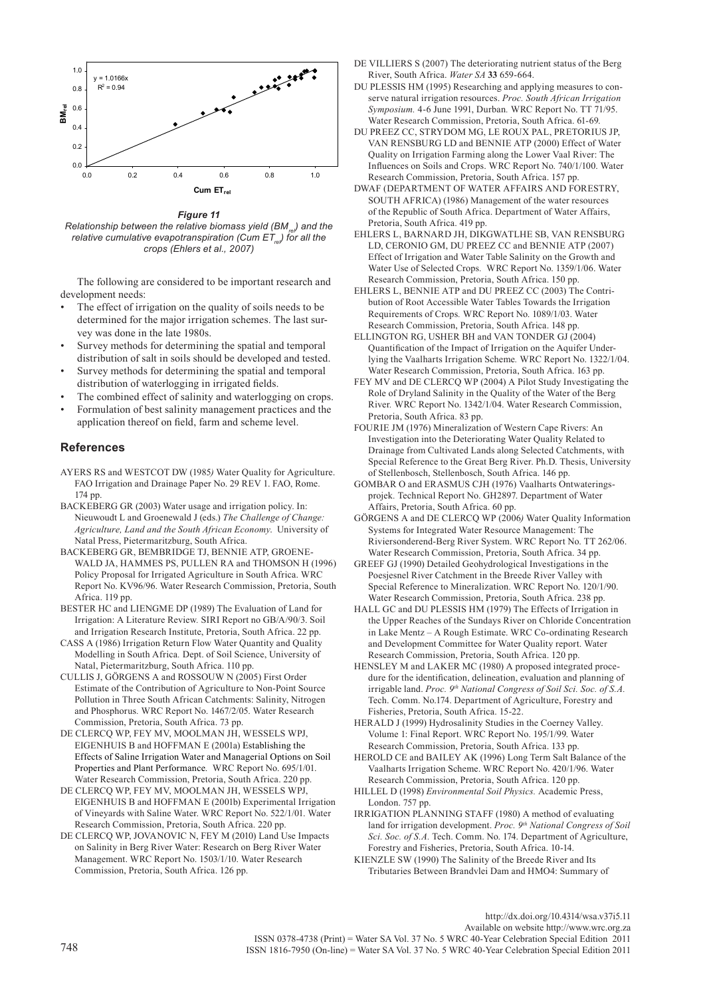

*Figure 11*

*Relationship between the relative biomass yield (BM<sub>re</sub>) and the relative cumulative evapotranspiration (Cum ET<sub>re</sub>) for all the crops (Ehlers et al., 2007)*

The following are considered to be important research and development needs:

- The effect of irrigation on the quality of soils needs to be determined for the major irrigation schemes. The last survey was done in the late 1980s.
- Survey methods for determining the spatial and temporal distribution of salt in soils should be developed and tested.
- Survey methods for determining the spatial and temporal distribution of waterlogging in irrigated fields.
- The combined effect of salinity and waterlogging on crops.
- Formulation of best salinity management practices and the application thereof on field, farm and scheme level.

# **References**

- AYERS RS and WESTCOT DW (1985*)* Water Quality for Agriculture. FAO Irrigation and Drainage Paper No. 29 REV 1. FAO, Rome. 174 pp.
- BACKEBERG GR (2003) Water usage and irrigation policy. In: Nieuwoudt L and Groenewald J (eds.) *The Challenge of Change: Agriculture, Land and the South African Economy*.University of Natal Press, Pietermaritzburg, South Africa.
- BACKEBERG GR, BEMBRIDGE TJ, BENNIE ATP, GROENE-WALD JA, HAMMES PS, PULLEN RA and THOMSON H (1996) Policy Proposal for Irrigated Agriculture in South Africa. WRC Report No. KV96/96. Water Research Commission, Pretoria, South Africa. 119 pp.
- BESTER HC and LIENGME DP (1989) The Evaluation of Land for Irrigation: A Literature Review*.* SIRI Report no GB/A/90/3. Soil and Irrigation Research Institute, Pretoria, South Africa. 22 pp.
- CASS A (1986) Irrigation Return Flow Water Quantity and Quality Modelling in South Africa*.* Dept. of Soil Science, University of Natal, Pietermaritzburg, South Africa. 110 pp.
- CULLIS J, GÖRGENS A and ROSSOUW N (2005) First Order Estimate of the Contribution of Agriculture to Non-Point Source Pollution in Three South African Catchments: Salinity, Nitrogen and Phosphorus*.* WRC Report No. 1467/2/05. Water Research Commission, Pretoria, South Africa. 73 pp.
- DE CLERCQ WP, FEY MV, MOOLMAN JH, WESSELS WPJ, EIGENHUIS B and HOFFMAN E (2001a) Establishing the Effects of Saline Irrigation Water and Managerial Options on Soil Properties and Plant Performance*.* WRC Report No. 695/1/01. Water Research Commission, Pretoria, South Africa. 220 pp.
- DE CLERCQ WP, FEY MV, MOOLMAN JH, WESSELS WPJ, EIGENHUIS B and HOFFMAN E (2001b) Experimental Irrigation of Vineyards with Saline Water. WRC Report No. 522/1/01. Water Research Commission, Pretoria, South Africa. 220 pp.
- DE CLERCQ WP, JOVANOVIC N, FEY M (2010) Land Use Impacts on Salinity in Berg River Water: Research on Berg River Water Management. WRC Report No. 1503/1/10. Water Research Commission, Pretoria, South Africa. 126 pp.
- DE VILLIERS S (2007) The deteriorating nutrient status of the Berg River, South Africa. *Water SA* **33** 659-664.
- DU PLESSIS HM (1995) Researching and applying measures to conserve natural irrigation resources. *Proc. South African Irrigation Symposium.* 4-6 June 1991, Durban*.* WRC Report No. TT 71/95. Water Research Commission, Pretoria, South Africa. 61-69.
- DU PREEZ CC, STRYDOM MG, LE ROUX PAL, PRETORIUS JP, VAN RENSBURG LD and BENNIE ATP (2000) Effect of Water Quality on Irrigation Farming along the Lower Vaal River: The Influences on Soils and Crops. WRC Report No. 740/1/100. Water Research Commission, Pretoria, South Africa. 157 pp.
- DWAF (DEPARTMENT OF WATER AFFAIRS AND FORESTRY, SOUTH AFRICA) (1986) Management of the water resources of the Republic of South Africa. Department of Water Affairs, Pretoria, South Africa. 419 pp.
- EHLERS L, BARNARD JH, DIKGWATLHE SB, VAN RENSBURG LD, CERONIO GM, DU PREEZ CC and BENNIE ATP (2007) Effect of Irrigation and Water Table Salinity on the Growth and Water Use of Selected Crops*.* WRC Report No. 1359/1/06. Water Research Commission, Pretoria, South Africa. 150 pp.
- EHLERS L, BENNIE ATP and DU PREEZ CC (2003) The Contribution of Root Accessible Water Tables Towards the Irrigation Requirements of Crops*.* WRC Report No. 1089/1/03. Water Research Commission, Pretoria, South Africa. 148 pp.
- ELLINGTON RG, USHER BH and VAN TONDER GJ (2004) Quantification of the Impact of Irrigation on the Aquifer Underlying the Vaalharts Irrigation Scheme*.* WRC Report No. 1322/1/04. Water Research Commission, Pretoria, South Africa. 163 pp.
- FEY MV and DE CLERCQ WP (2004) A Pilot Study Investigating the Role of Dryland Salinity in the Quality of the Water of the Berg River*.* WRC Report No. 1342/1/04. Water Research Commission, Pretoria, South Africa. 83 pp.
- FOURIE JM (1976) Mineralization of Western Cape Rivers: An Investigation into the Deteriorating Water Quality Related to Drainage from Cultivated Lands along Selected Catchments, with Special Reference to the Great Berg River. Ph.D. Thesis, University of Stellenbosch, Stellenbosch, South Africa. 146 pp.
- GOMBAR O and ERASMUS CJH (1976) Vaalharts Ontwateringsprojek*.* Technical Report No. GH2897. Department of Water Affairs, Pretoria, South Africa. 60 pp.
- GÖRGENS A and DE CLERCQ WP (2006*)* Water Quality Information Systems for Integrated Water Resource Management: The Riviersonderend-Berg River System. WRC Report No. TT 262/06. Water Research Commission, Pretoria, South Africa. 34 pp.
- GREEF GJ (1990) Detailed Geohydrological Investigations in the Poesjesnel River Catchment in the Breede River Valley with Special Reference to Mineralization. WRC Report No. 120/1/90. Water Research Commission, Pretoria, South Africa. 238 pp.
- HALL GC and DU PLESSIS HM (1979) The Effects of Irrigation in the Upper Reaches of the Sundays River on Chloride Concentration in Lake Mentz – A Rough Estimate. WRC Co-ordinating Research and Development Committee for Water Quality report. Water Research Commission, Pretoria, South Africa. 120 pp.
- HENSLEY M and LAKER MC (1980) A proposed integrated procedure for the identification, delineation, evaluation and planning of irrigable land. *Proc. 9th National Congress of Soil Sci. Soc. of S.A.* Tech. Comm. No.174. Department of Agriculture, Forestry and Fisheries, Pretoria, South Africa. 15-22.
- HERALD J (1999) Hydrosalinity Studies in the Coerney Valley. Volume 1: Final Report. WRC Report No. 195/1/99. Water Research Commission, Pretoria, South Africa. 133 pp.
- HEROLD CE and BAILEY AK (1996) Long Term Salt Balance of the Vaalharts Irrigation Scheme. WRC Report No. 420/1/96. Water Research Commission, Pretoria, South Africa. 120 pp.
- HILLEL D (1998) *Environmental Soil Physics.* Academic Press, London. 757 pp.
- IRRIGATION PLANNING STAFF (1980) A method of evaluating land for irrigation development. Proc. 9<sup>th</sup> National Congress of Soil *Sci. Soc. of S.A.* Tech. Comm. No. 174. Department of Agriculture, Forestry and Fisheries, Pretoria, South Africa. 10-14.
- KIENZLE SW (1990) The Salinity of the Breede River and Its Tributaries Between Brandvlei Dam and HMO4: Summary of

ISSN 0378-4738 (Print) = Water SA Vol. 37 No. 5 WRC 40-Year Celebration Special Edition 2011 <sup>748</sup> ISSN 1816-7950 (On-line) = Water SA Vol. 37 No. 5 WRC 40-Year Celebration Special Edition 2011